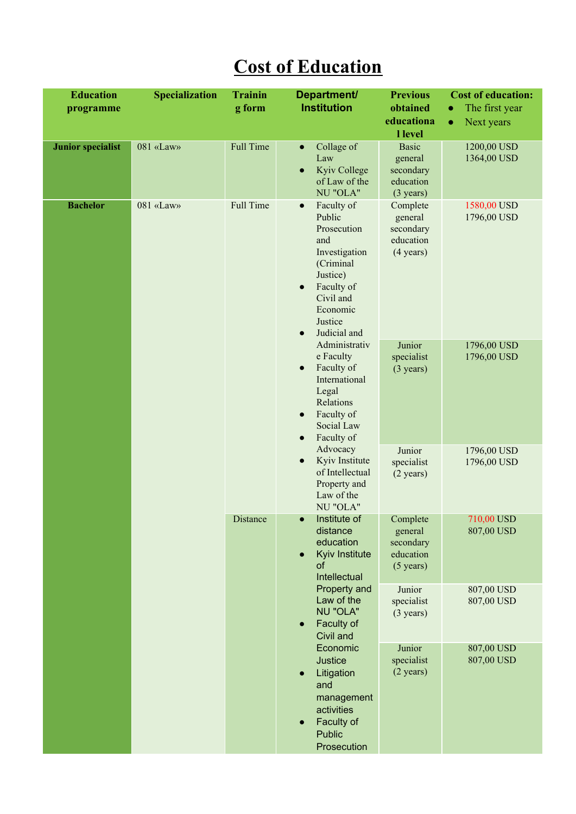## **Cost of Education**

| <b>Education</b><br>programme | <b>Specialization</b> | <b>Trainin</b><br>g form | Department/<br><b>Institution</b>                                                                                                                                                | <b>Previous</b><br>obtained<br>educationa<br>l level                     | <b>Cost of education:</b><br>The first year<br>Next years<br>$\bullet$ |
|-------------------------------|-----------------------|--------------------------|----------------------------------------------------------------------------------------------------------------------------------------------------------------------------------|--------------------------------------------------------------------------|------------------------------------------------------------------------|
| <b>Junior specialist</b>      | 081 «Law»             | <b>Full Time</b>         | Collage of<br>$\bullet$<br>Law<br>Kyiv College<br>of Law of the<br>NU "OLA"                                                                                                      | <b>Basic</b><br>general<br>secondary<br>education<br>$(3 \text{ years})$ | 1200,00 USD<br>1364,00 USD                                             |
| <b>Bachelor</b>               | 081 «Law»             | Full Time                | Faculty of<br>$\bullet$<br>Public<br>Prosecution<br>and<br>Investigation<br>(Criminal<br>Justice)<br>Faculty of<br>Civil and<br>Economic<br>Justice<br>Judicial and<br>$\bullet$ | Complete<br>general<br>secondary<br>education<br>$(4 \text{ years})$     | 1580,00 USD<br>1796,00 USD                                             |
|                               |                       |                          | Administrativ<br>e Faculty<br>Faculty of<br>$\bullet$<br>International<br>Legal<br>Relations<br>Faculty of<br>$\bullet$<br>Social Law<br>Faculty of<br>$\bullet$                 | Junior<br>specialist<br>$(3 \text{ years})$                              | 1796,00 USD<br>1796,00 USD                                             |
|                               |                       |                          | Advocacy<br>Kyiv Institute<br>$\bullet$<br>of Intellectual<br>Property and<br>Law of the<br>NU "OLA"                                                                             | Junior<br>specialist<br>$(2 \text{ years})$                              | 1796,00 USD<br>1796,00 USD                                             |
|                               |                       | Distance                 | Institute of<br>distance<br>education<br>Kyiv Institute<br>$\bullet$<br>of<br>Intellectual                                                                                       | Complete<br>general<br>secondary<br>education<br>$(5 \text{ years})$     | 710,00 USD<br>807,00 USD                                               |
|                               |                       |                          | Property and<br>Law of the<br><b>NU "OLA"</b><br>Faculty of<br>$\bullet$<br>Civil and                                                                                            | Junior<br>specialist<br>$(3 \text{ years})$                              | 807,00 USD<br>807,00 USD                                               |
|                               |                       |                          | Economic<br><b>Justice</b><br>Litigation<br>$\bullet$<br>and<br>management<br>activities<br>Faculty of<br>$\bullet$<br><b>Public</b><br>Prosecution                              | Junior<br>specialist<br>$(2 \text{ years})$                              | 807,00 USD<br>807,00 USD                                               |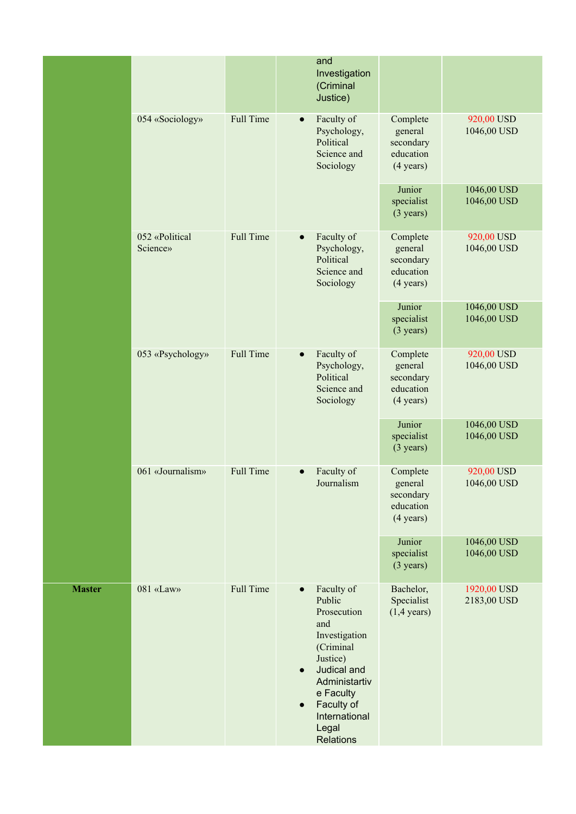|               |                            |                  | and<br>Investigation<br>(Criminal<br>Justice)                                                                                                                                                                                        |                                                                      |                            |
|---------------|----------------------------|------------------|--------------------------------------------------------------------------------------------------------------------------------------------------------------------------------------------------------------------------------------|----------------------------------------------------------------------|----------------------------|
|               | 054 «Sociology»            | <b>Full Time</b> | Faculty of<br>$\bullet$<br>Psychology,<br>Political<br>Science and<br>Sociology                                                                                                                                                      | Complete<br>general<br>secondary<br>education<br>$(4 \text{ years})$ | 920,00 USD<br>1046,00 USD  |
|               |                            |                  |                                                                                                                                                                                                                                      | Junior<br>specialist<br>$(3 \text{ years})$                          | 1046,00 USD<br>1046,00 USD |
|               | 052 «Political<br>Science» | <b>Full Time</b> | Faculty of<br>$\bullet$<br>Psychology,<br>Political<br>Science and<br>Sociology                                                                                                                                                      | Complete<br>general<br>secondary<br>education<br>$(4 \text{ years})$ | 920,00 USD<br>1046,00 USD  |
|               |                            |                  |                                                                                                                                                                                                                                      | Junior<br>specialist<br>$(3 \text{ years})$                          | 1046,00 USD<br>1046,00 USD |
|               | 053 «Psychology»           | <b>Full Time</b> | Faculty of<br>$\bullet$<br>Psychology,<br>Political<br>Science and<br>Sociology                                                                                                                                                      | Complete<br>general<br>secondary<br>education<br>$(4 \text{ years})$ | 920,00 USD<br>1046,00 USD  |
|               |                            |                  |                                                                                                                                                                                                                                      | Junior<br>specialist<br>$(3 \text{ years})$                          | 1046,00 USD<br>1046,00 USD |
|               | 061 «Journalism»           | <b>Full Time</b> | Faculty of<br>Journalism                                                                                                                                                                                                             | Complete<br>general<br>secondary<br>education<br>$(4 \text{ years})$ | 920,00 USD<br>1046,00 USD  |
|               |                            |                  |                                                                                                                                                                                                                                      | Junior<br>specialist<br>$(3 \text{ years})$                          | 1046,00 USD<br>1046,00 USD |
| <b>Master</b> | 081 «Law»                  | <b>Full Time</b> | Faculty of<br>$\bullet$<br>Public<br>Prosecution<br>and<br>Investigation<br>(Criminal<br>Justice)<br>Judical and<br>$\bullet$<br>Administartiv<br>e Faculty<br>Faculty of<br>$\bullet$<br>International<br>Legal<br><b>Relations</b> | Bachelor,<br>Specialist<br>$(1,4 \text{ years})$                     | 1920,00 USD<br>2183,00 USD |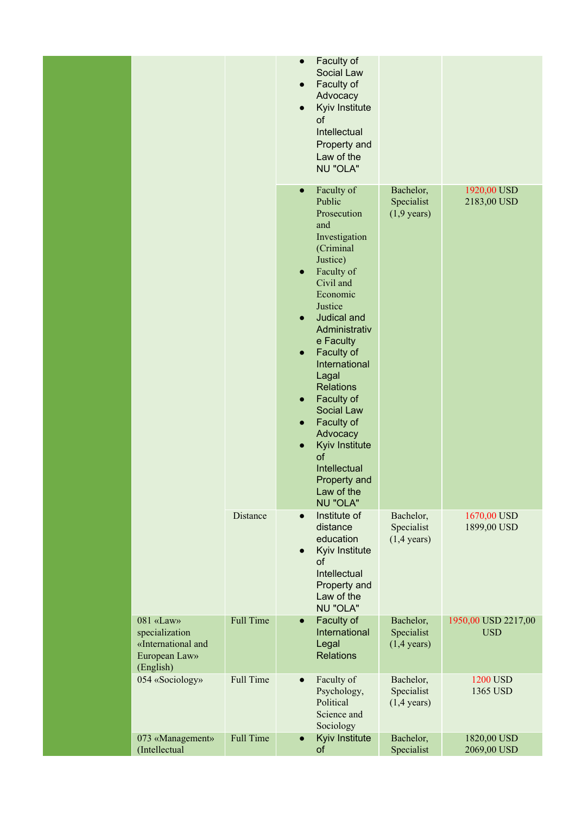|  |                                                                                 |                  | $\bullet$<br>$\bullet$ | Faculty of<br>Social Law<br>Faculty of<br>Advocacy<br>Kyiv Institute<br>of<br>Intellectual<br>Property and<br>Law of the<br>NU "OLA"                                                                                                                                                                                                                                                           |                                                  |                                   |
|--|---------------------------------------------------------------------------------|------------------|------------------------|------------------------------------------------------------------------------------------------------------------------------------------------------------------------------------------------------------------------------------------------------------------------------------------------------------------------------------------------------------------------------------------------|--------------------------------------------------|-----------------------------------|
|  |                                                                                 |                  | $\bullet$              | Faculty of<br>Public<br>Prosecution<br>and<br>Investigation<br>(Criminal<br>Justice)<br>Faculty of<br>Civil and<br>Economic<br>Justice<br>Judical and<br>Administrativ<br>e Faculty<br>Faculty of<br>International<br>Lagal<br><b>Relations</b><br>Faculty of<br>Social Law<br>Faculty of<br>Advocacy<br>Kyiv Institute<br>of<br>Intellectual<br>Property and<br>Law of the<br><b>NU "OLA"</b> | Bachelor,<br>Specialist<br>$(1,9 \text{ years})$ | 1920,00 USD<br>2183,00 USD        |
|  |                                                                                 | <b>Distance</b>  | $\bullet$              | Institute of<br>distance<br>education<br>Kyiv Institute<br>of<br>Intellectual<br>Property and<br>Law of the<br>NU "OLA"                                                                                                                                                                                                                                                                        | Bachelor,<br>Specialist<br>$(1,4 \text{ years})$ | 1670,00 USD<br>1899,00 USD        |
|  | 081 «Law»<br>specialization<br>«International and<br>European Law»<br>(English) | <b>Full Time</b> | $\bullet$              | Faculty of<br>International<br>Legal<br><b>Relations</b>                                                                                                                                                                                                                                                                                                                                       | Bachelor,<br>Specialist<br>$(1,4 \text{ years})$ | 1950,00 USD 2217,00<br><b>USD</b> |
|  | 054 «Sociology»                                                                 | <b>Full Time</b> | $\bullet$              | Faculty of<br>Psychology,<br>Political<br>Science and<br>Sociology                                                                                                                                                                                                                                                                                                                             | Bachelor,<br>Specialist<br>$(1,4 \text{ years})$ | <b>1200 USD</b><br>1365 USD       |
|  | 073 «Management»<br>(Intellectual                                               | <b>Full Time</b> | $\bullet$              | Kyiv Institute<br>of                                                                                                                                                                                                                                                                                                                                                                           | Bachelor,<br>Specialist                          | 1820,00 USD<br>2069,00 USD        |